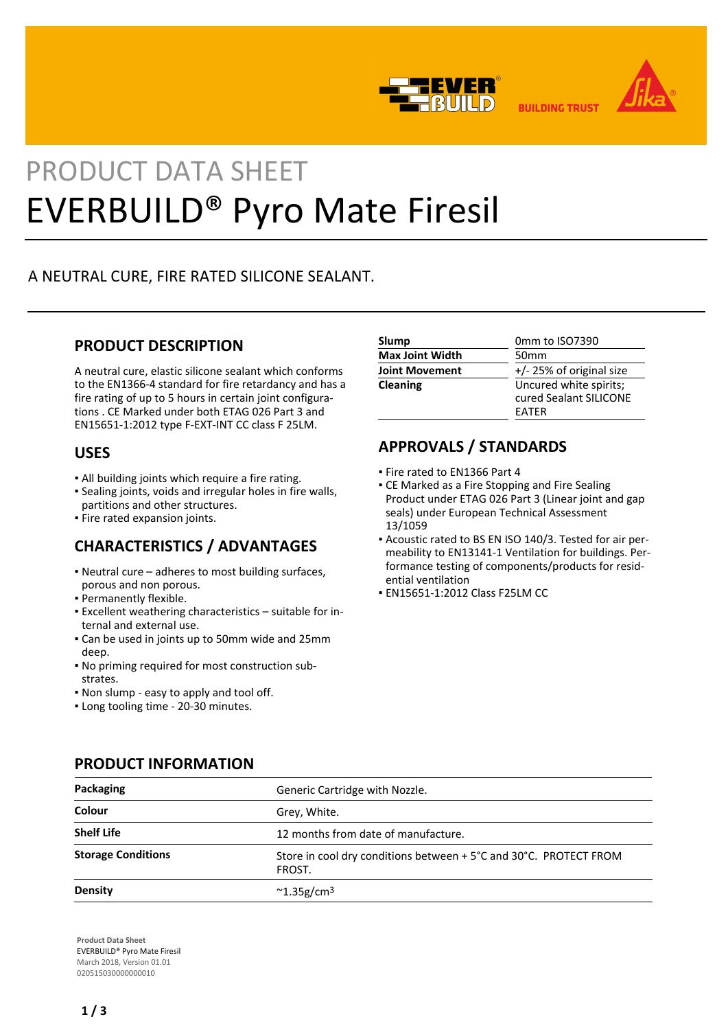



**BUILDING TRUST** 

# PRODUCT DATA SHEET EVERBUILD® Pyro Mate Firesil

# A NEUTRAL CURE, FIRE RATED SILICONE SEALANT.

# **PRODUCT DESCRIPTION**

A neutral cure, elastic silicone sealant which conforms to the EN1366-4 standard for fire retardancy and has a fire rating of up to 5 hours in certain joint configurations . CE Marked under both ETAG 026 Part 3 and EN15651-1:2012 type F-EXT-INT CC class F 25LM.

## **USES**

- All building joints which require a fire rating.
- Sealing joints, voids and irregular holes in fire walls, partitions and other structures.
- Fire rated expansion joints.

# **CHARACTERISTICS / ADVANTAGES**

- Neutral cure adheres to most building surfaces, porous and non porous.
- Permanently flexible.
- Excellent weathering characteristics suitable for in-▪ ternal and external use.
- Can be used in joints up to 50mm wide and 25mm deep.
- No priming required for most construction sub-▪ strates.
- Non slump easy to apply and tool off.
- Long tooling time 20-30 minutes.

| Slump                  | 0mm to ISO7390           |
|------------------------|--------------------------|
| <b>Max Joint Width</b> | 50 <sub>mm</sub>         |
| <b>Joint Movement</b>  | +/- 25% of original size |
| <b>Cleaning</b>        | Uncured white spirits;   |
|                        | cured Sealant SILICONE   |
|                        | <b>FATFR</b>             |

# **APPROVALS / STANDARDS**

- Fire rated to EN1366 Part 4
- **CE Marked as a Fire Stopping and Fire Sealing** Product under ETAG 026 Part 3 (Linear joint and gap seals) under European Technical Assessment 13/1059
- Acoustic rated to BS EN ISO 140/3. Tested for air per-▪ meability to EN13141-1 Ventilation for buildings. Performance testing of components/products for residential ventilation
- EN15651-1:2012 Class F25LM CC

| Packaging                 | Generic Cartridge with Nozzle.                                              |
|---------------------------|-----------------------------------------------------------------------------|
| Colour                    | Grey, White.                                                                |
| <b>Shelf Life</b>         | 12 months from date of manufacture.                                         |
| <b>Storage Conditions</b> | Store in cool dry conditions between + 5°C and 30°C. PROTECT FROM<br>FROST. |
| <b>Density</b>            | $\sim$ 1.35g/cm <sup>3</sup>                                                |

**PRODUCT INFORMATION**

**Product Data Sheet** EVERBUILD® Pyro Mate Firesil March 2018, Version 01.01 020515030000000010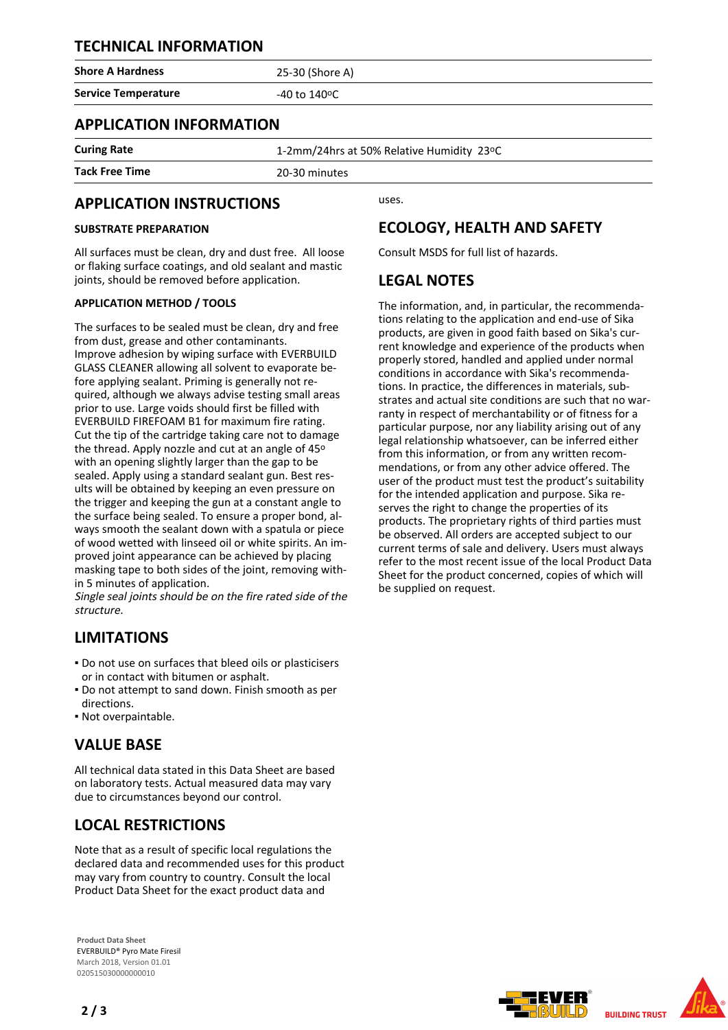## **TECHNICAL INFORMATION**

**Shore A Hardness** 25-30 (Shore A)

**Service Temperature**  $-40$  to 140<sup>o</sup>C

## **APPLICATION INFORMATION**

**Curing Rate** 1-2mm/24hrs at 50% Relative Humidity 23°C

**Tack Free Time** 20-30 minutes

## **APPLICATION INSTRUCTIONS**

## **SUBSTRATE PREPARATION**

All surfaces must be clean, dry and dust free. All loose or flaking surface coatings, and old sealant and mastic joints, should be removed before application.

## **APPLICATION METHOD / TOOLS**

The surfaces to be sealed must be clean, dry and free from dust, grease and other contaminants. Improve adhesion by wiping surface with EVERBUILD GLASS CLEANER allowing all solvent to evaporate before applying sealant. Priming is generally not required, although we always advise testing small areas prior to use. Large voids should first be filled with EVERBUILD FIREFOAM B1 for maximum fire rating. Cut the tip of the cartridge taking care not to damage the thread. Apply nozzle and cut at an angle of 45° with an opening slightly larger than the gap to be sealed. Apply using a standard sealant gun. Best results will be obtained by keeping an even pressure on the trigger and keeping the gun at a constant angle to the surface being sealed. To ensure a proper bond, always smooth the sealant down with a spatula or piece of wood wetted with linseed oil or white spirits. An improved joint appearance can be achieved by placing masking tape to both sides of the joint, removing within 5 minutes of application.

Single seal joints should be on the fire rated side of the structure.

# **LIMITATIONS**

- Do not use on surfaces that bleed oils or plasticisers or in contact with bitumen or asphalt.
- Do not attempt to sand down. Finish smooth as per directions.
- Not overpaintable.

## **VALUE BASE**

All technical data stated in this Data Sheet are based on laboratory tests. Actual measured data may vary due to circumstances beyond our control.

## **LOCAL RESTRICTIONS**

Note that as a result of specific local regulations the declared data and recommended uses for this product may vary from country to country. Consult the local Product Data Sheet for the exact product data and

**Product Data Sheet** EVERBUILD® Pyro Mate Firesil March 2018, Version 01.01 020515030000000010

uses.

## **ECOLOGY, HEALTH AND SAFETY**

Consult MSDS for full list of hazards.

## **LEGAL NOTES**

The information, and, in particular, the recommendations relating to the application and end-use of Sika products, are given in good faith based on Sika's current knowledge and experience of the products when properly stored, handled and applied under normal conditions in accordance with Sika's recommendations. In practice, the differences in materials, substrates and actual site conditions are such that no warranty in respect of merchantability or of fitness for a particular purpose, nor any liability arising out of any legal relationship whatsoever, can be inferred either from this information, or from any written recommendations, or from any other advice offered. The user of the product must test the product's suitability for the intended application and purpose. Sika reserves the right to change the properties of its products. The proprietary rights of third parties must be observed. All orders are accepted subject to our current terms of sale and delivery. Users must always refer to the most recent issue of the local Product Data Sheet for the product concerned, copies of which will be supplied on request.